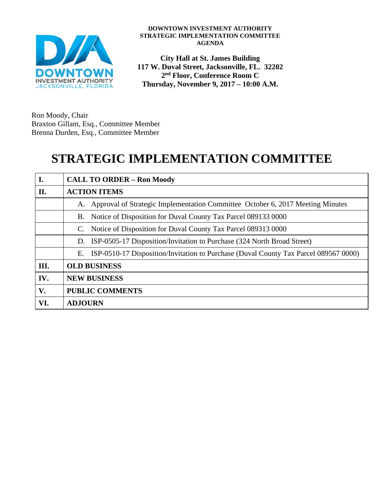

#### **DOWNTOWN INVESTMENT AUTHORITY STRATEGIC IMPLEMENTATION COMMITTEE AGENDA**

**City Hall at St. James Building 117 W. Duval Street, Jacksonville, FL. 32202 2nd Floor, Conference Room C Thursday, November 9, 2017 – 10:00 A.M.**

Ron Moody, Chair Braxton Gillam, Esq., Committee Member Brenna Durden, Esq., Committee Member

# **STRATEGIC IMPLEMENTATION COMMITTEE**

| I.   | <b>CALL TO ORDER - Ron Moody</b>                                                           |
|------|--------------------------------------------------------------------------------------------|
| П.   | <b>ACTION ITEMS</b>                                                                        |
|      | Approval of Strategic Implementation Committee October 6, 2017 Meeting Minutes<br>A.       |
|      | Notice of Disposition for Duval County Tax Parcel 089133 0000<br>В.                        |
|      | Notice of Disposition for Duval County Tax Parcel 089313 0000<br>C.                        |
|      | ISP-0505-17 Disposition/Invitation to Purchase (324 North Broad Street)<br>D.              |
|      | ISP-0510-17 Disposition/Invitation to Purchase (Duval County Tax Parcel 089567 0000)<br>Е. |
| III. | <b>OLD BUSINESS</b>                                                                        |
| IV.  | <b>NEW BUSINESS</b>                                                                        |
| V.   | <b>PUBLIC COMMENTS</b>                                                                     |
| VI.  | <b>ADJOURN</b>                                                                             |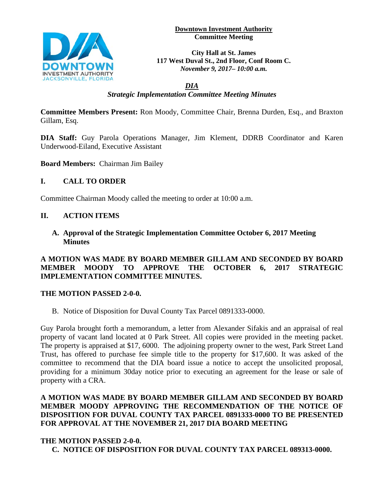**Downtown Investment Authority Committee Meeting** 



**City Hall at St. James 117 West Duval St., 2nd Floor, Conf Room C.**  *November 9, 2017– 10:00 a.m.*

*DIA Strategic Implementation Committee Meeting Minutes*

**Committee Members Present:** Ron Moody, Committee Chair, Brenna Durden, Esq., and Braxton Gillam, Esq.

**DIA Staff:** Guy Parola Operations Manager, Jim Klement, DDRB Coordinator and Karen Underwood-Eiland, Executive Assistant

**Board Members:** Chairman Jim Bailey

### **I. CALL TO ORDER**

Committee Chairman Moody called the meeting to order at 10:00 a.m.

### **II. ACTION ITEMS**

**A. Approval of the Strategic Implementation Committee October 6, 2017 Meeting Minutes**

#### **A MOTION WAS MADE BY BOARD MEMBER GILLAM AND SECONDED BY BOARD MEMBER MOODY TO APPROVE THE OCTOBER 6, 2017 STRATEGIC IMPLEMENTATION COMMITTEE MINUTES.**

#### **THE MOTION PASSED 2-0-0.**

B. Notice of Disposition for Duval County Tax Parcel 0891333-0000.

Guy Parola brought forth a memorandum, a letter from Alexander Sifakis and an appraisal of real property of vacant land located at 0 Park Street. All copies were provided in the meeting packet. The property is appraised at \$17, 6000. The adjoining property owner to the west, Park Street Land Trust, has offered to purchase fee simple title to the property for \$17,600. It was asked of the committee to recommend that the DIA board issue a notice to accept the unsolicited proposal, providing for a minimum 30day notice prior to executing an agreement for the lease or sale of property with a CRA.

### **A MOTION WAS MADE BY BOARD MEMBER GILLAM AND SECONDED BY BOARD MEMBER MOODY APPROVING THE RECOMMENDATION OF THE NOTICE OF DISPOSITION FOR DUVAL COUNTY TAX PARCEL 0891333-0000 TO BE PRESENTED FOR APPROVAL AT THE NOVEMBER 21, 2017 DIA BOARD MEETING**

### **THE MOTION PASSED 2-0-0.**

**C. NOTICE OF DISPOSITION FOR DUVAL COUNTY TAX PARCEL 089313-0000.**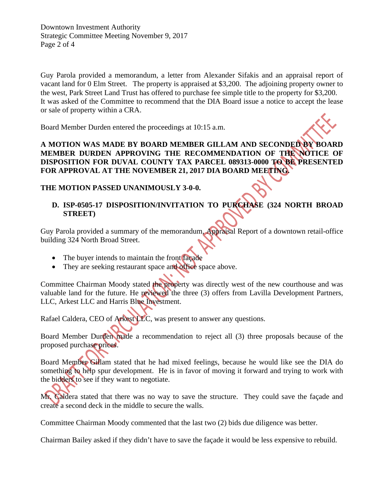Downtown Investment Authority Strategic Committee Meeting November 9, 2017 Page 2 of 4

Guy Parola provided a memorandum, a letter from Alexander Sifakis and an appraisal report of vacant land for 0 Elm Street. The property is appraised at \$3,200. The adjoining property owner to the west, Park Street Land Trust has offered to purchase fee simple title to the property for \$3,200. It was asked of the Committee to recommend that the DIA Board issue a notice to accept the lease or sale of property within a CRA.

Board Member Durden entered the proceedings at 10:15 a.m.

**A MOTION WAS MADE BY BOARD MEMBER GILLAM AND SECONDED BY BOARD MEMBER DURDEN APPROVING THE RECOMMENDATION OF THE NOTICE OF DISPOSITION FOR DUVAL COUNTY TAX PARCEL 089313-0000 TO BE PRESENTED FOR APPROVAL AT THE NOVEMBER 21, 2017 DIA BOARD MEETING.** 

#### **THE MOTION PASSED UNANIMOUSLY 3-0-0.**

## **D. ISP-0505-17 DISPOSITION/INVITATION TO PURCHASE (324 NORTH BROAD STREET)**

Guy Parola provided a summary of the memorandum, Appraisal Report of a downtown retail-office building 324 North Broad Street.

- The buyer intends to maintain the front façade
- They are seeking restaurant space and office space above.

Committee Chairman Moody stated the property was directly west of the new courthouse and was valuable land for the future. He reviewed the three (3) offers from Lavilla Development Partners, LLC, Arkest LLC and Harris Blue Investment.

Rafael Caldera, CEO of Arkest LLC, was present to answer any questions.

Board Member Durden made a recommendation to reject all (3) three proposals because of the proposed purchase prices.

Board Member Gillam stated that he had mixed feelings, because he would like see the DIA do something to help spur development. He is in favor of moving it forward and trying to work with the bidders to see if they want to negotiate.

Mr. Caldera stated that there was no way to save the structure. They could save the façade and create a second deck in the middle to secure the walls.

Committee Chairman Moody commented that the last two (2) bids due diligence was better.

Chairman Bailey asked if they didn't have to save the façade it would be less expensive to rebuild.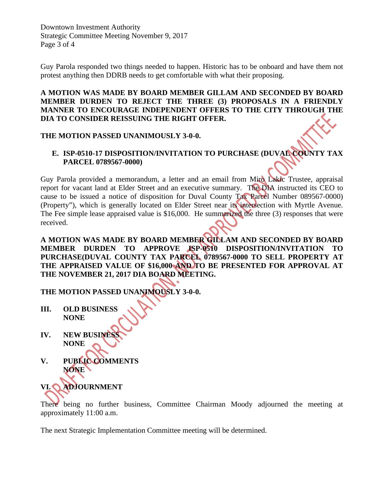Downtown Investment Authority Strategic Committee Meeting November 9, 2017 Page 3 of 4

Guy Parola responded two things needed to happen. Historic has to be onboard and have them not protest anything then DDRB needs to get comfortable with what their proposing.

#### **A MOTION WAS MADE BY BOARD MEMBER GILLAM AND SECONDED BY BOARD MEMBER DURDEN TO REJECT THE THREE (3) PROPOSALS IN A FRIENDLY MANNER TO ENCOURAGE INDEPENDENT OFFERS TO THE CITY THROUGH THE DIA TO CONSIDER REISSUING THE RIGHT OFFER.**

#### **THE MOTION PASSED UNANIMOUSLY 3-0-0.**

#### **E. ISP-0510-17 DISPOSITION/INVITATION TO PURCHASE (DUVAL COUNTY TAX PARCEL 0789567-0000)**

Guy Parola provided a memorandum, a letter and an email from Miro Lakic Trustee, appraisal report for vacant land at Elder Street and an executive summary. The DIA instructed its CEO to cause to be issued a notice of disposition for Duval County Tax Parcel Number 089567-0000) (Property"), which is generally located on Elder Street near its intersection with Myrtle Avenue. The Fee simple lease appraised value is \$16,000. He summarized the three (3) responses that were received.

#### **A MOTION WAS MADE BY BOARD MEMBER GILLAM AND SECONDED BY BOARD MEMBER DURDEN TO APPROVE ISP-0510 DISPOSITION/INVITATION TO PURCHASE(DUVAL COUNTY TAX PARCEL 0789567-0000 TO SELL PROPERTY AT THE APPRAISED VALUE OF \$16,000 AND TO BE PRESENTED FOR APPROVAL AT THE NOVEMBER 21, 2017 DIA BOARD MEETING.**

**THE MOTION PASSED UNANIMOUSLY 3-0-0.** 

- **III. OLD BUSINESS NONE**
- **IV. NEW BUSINES NONE**
- **V. PUBLIC COMMENTS NONE**

**VI. ADJOURNMENT** 

There being no further business, Committee Chairman Moody adjourned the meeting at approximately 11:00 a.m.

The next Strategic Implementation Committee meeting will be determined.